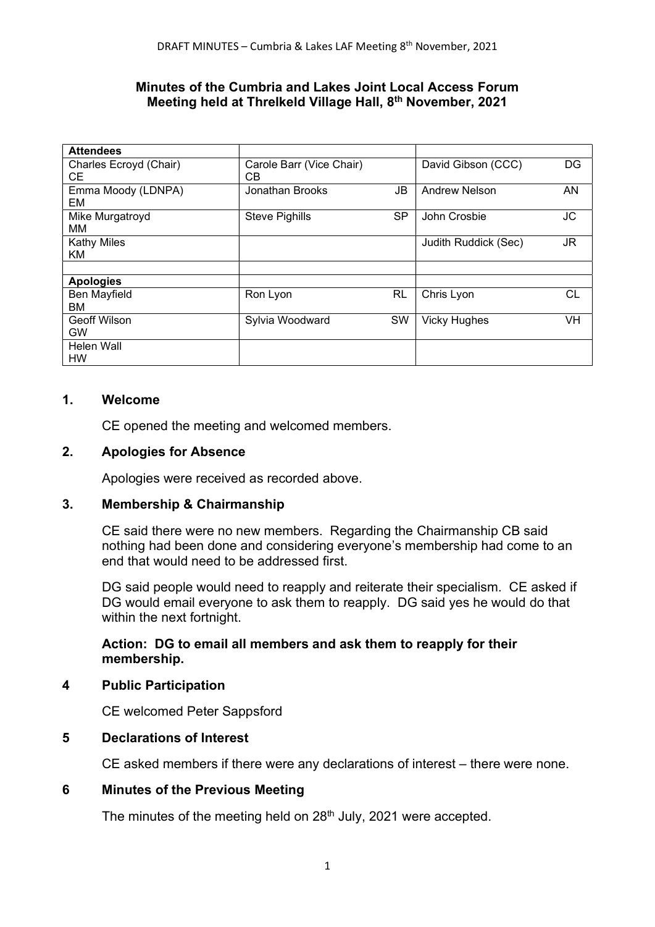#### Minutes of the Cumbria and Lakes Joint Local Access Forum Meeting held at Threlkeld Village Hall, 8<sup>th</sup> November, 2021

| <b>Attendees</b>         |                          |                            |
|--------------------------|--------------------------|----------------------------|
| Charles Ecroyd (Chair)   | Carole Barr (Vice Chair) | DG                         |
| CЕ                       | C <sub>B</sub>           | David Gibson (CCC)         |
| Emma Moody (LDNPA)       | JB                       | AN                         |
| EM                       | Jonathan Brooks          | <b>Andrew Nelson</b>       |
| Mike Murgatroyd          | SP                       | JC                         |
| MМ                       | <b>Steve Pighills</b>    | John Crosbie               |
| <b>Kathy Miles</b><br>KM |                          | JR<br>Judith Ruddick (Sec) |
|                          |                          |                            |
| <b>Apologies</b>         |                          |                            |
| Ben Mayfield             | <b>RL</b>                | СL                         |
| ВM                       | Ron Lyon                 | Chris Lyon                 |
| <b>Geoff Wilson</b>      | SW                       | VH                         |
| <b>GW</b>                | Sylvia Woodward          | <b>Vicky Hughes</b>        |
| Helen Wall<br>HW         |                          |                            |

## 1. Welcome

CE opened the meeting and welcomed members.

#### 2. Apologies for Absence

Apologies were received as recorded above.

#### 3. Membership & Chairmanship

CE said there were no new members. Regarding the Chairmanship CB said nothing had been done and considering everyone's membership had come to an end that would need to be addressed first.

DG said people would need to reapply and reiterate their specialism. CE asked if DG would email everyone to ask them to reapply. DG said yes he would do that within the next fortnight.

## Action: DG to email all members and ask them to reapply for their membership.

#### 4 Public Participation

CE welcomed Peter Sappsford

## 5 Declarations of Interest

CE asked members if there were any declarations of interest – there were none.

## 6 Minutes of the Previous Meeting

The minutes of the meeting held on 28<sup>th</sup> July, 2021 were accepted.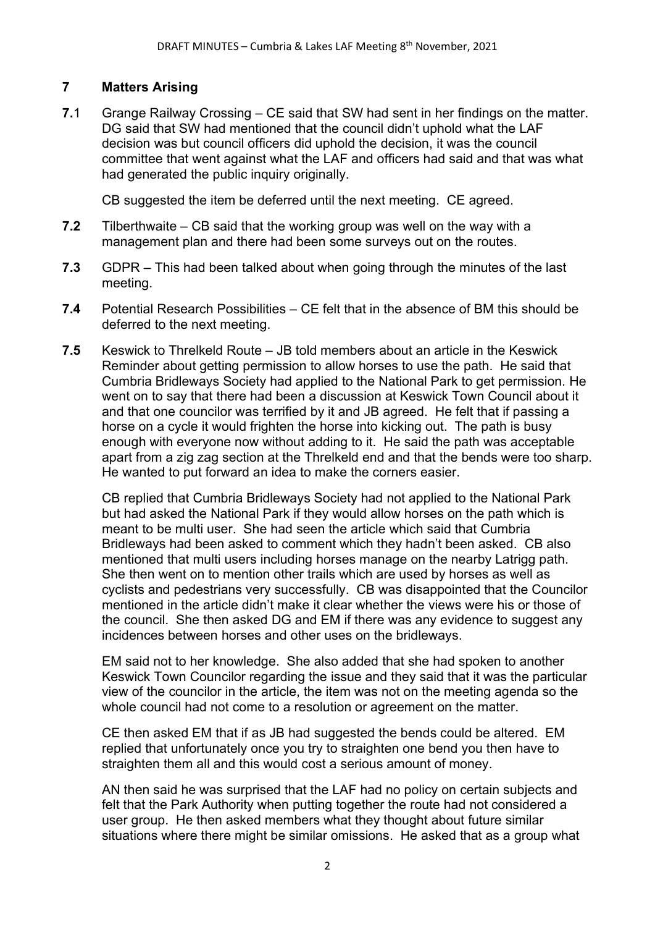# 7 Matters Arising

7.1 Grange Railway Crossing – CE said that SW had sent in her findings on the matter. DG said that SW had mentioned that the council didn't uphold what the LAF decision was but council officers did uphold the decision, it was the council committee that went against what the LAF and officers had said and that was what had generated the public inquiry originally.

CB suggested the item be deferred until the next meeting. CE agreed.

- 7.2 Tilberthwaite CB said that the working group was well on the way with a management plan and there had been some surveys out on the routes.
- 7.3 GDPR This had been talked about when going through the minutes of the last meeting.
- 7.4 Potential Research Possibilities CE felt that in the absence of BM this should be deferred to the next meeting.
- 7.5 Keswick to Threlkeld Route JB told members about an article in the Keswick Reminder about getting permission to allow horses to use the path. He said that Cumbria Bridleways Society had applied to the National Park to get permission. He went on to say that there had been a discussion at Keswick Town Council about it and that one councilor was terrified by it and JB agreed. He felt that if passing a horse on a cycle it would frighten the horse into kicking out. The path is busy enough with everyone now without adding to it. He said the path was acceptable apart from a zig zag section at the Threlkeld end and that the bends were too sharp. He wanted to put forward an idea to make the corners easier.

CB replied that Cumbria Bridleways Society had not applied to the National Park but had asked the National Park if they would allow horses on the path which is meant to be multi user. She had seen the article which said that Cumbria Bridleways had been asked to comment which they hadn't been asked. CB also mentioned that multi users including horses manage on the nearby Latrigg path. She then went on to mention other trails which are used by horses as well as cyclists and pedestrians very successfully. CB was disappointed that the Councilor mentioned in the article didn't make it clear whether the views were his or those of the council. She then asked DG and EM if there was any evidence to suggest any incidences between horses and other uses on the bridleways.

EM said not to her knowledge. She also added that she had spoken to another Keswick Town Councilor regarding the issue and they said that it was the particular view of the councilor in the article, the item was not on the meeting agenda so the whole council had not come to a resolution or agreement on the matter.

 CE then asked EM that if as JB had suggested the bends could be altered. EM replied that unfortunately once you try to straighten one bend you then have to straighten them all and this would cost a serious amount of money.

 AN then said he was surprised that the LAF had no policy on certain subjects and felt that the Park Authority when putting together the route had not considered a user group. He then asked members what they thought about future similar situations where there might be similar omissions. He asked that as a group what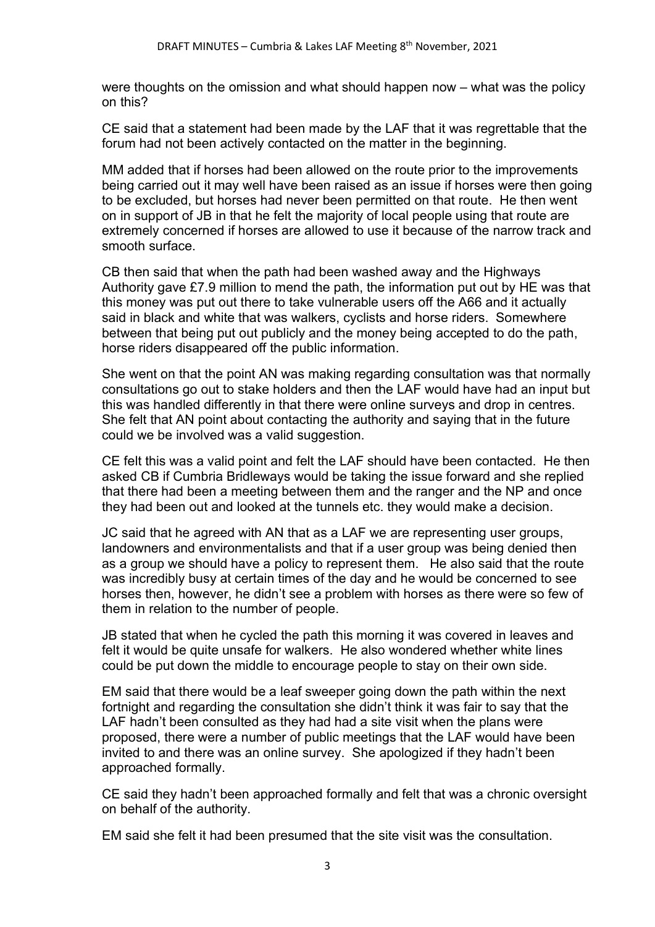were thoughts on the omission and what should happen now – what was the policy on this?

 CE said that a statement had been made by the LAF that it was regrettable that the forum had not been actively contacted on the matter in the beginning.

 MM added that if horses had been allowed on the route prior to the improvements being carried out it may well have been raised as an issue if horses were then going to be excluded, but horses had never been permitted on that route. He then went on in support of JB in that he felt the majority of local people using that route are extremely concerned if horses are allowed to use it because of the narrow track and smooth surface.

 CB then said that when the path had been washed away and the Highways Authority gave £7.9 million to mend the path, the information put out by HE was that this money was put out there to take vulnerable users off the A66 and it actually said in black and white that was walkers, cyclists and horse riders. Somewhere between that being put out publicly and the money being accepted to do the path, horse riders disappeared off the public information.

 She went on that the point AN was making regarding consultation was that normally consultations go out to stake holders and then the LAF would have had an input but this was handled differently in that there were online surveys and drop in centres. She felt that AN point about contacting the authority and saying that in the future could we be involved was a valid suggestion.

 CE felt this was a valid point and felt the LAF should have been contacted. He then asked CB if Cumbria Bridleways would be taking the issue forward and she replied that there had been a meeting between them and the ranger and the NP and once they had been out and looked at the tunnels etc. they would make a decision.

 JC said that he agreed with AN that as a LAF we are representing user groups, landowners and environmentalists and that if a user group was being denied then as a group we should have a policy to represent them. He also said that the route was incredibly busy at certain times of the day and he would be concerned to see horses then, however, he didn't see a problem with horses as there were so few of them in relation to the number of people.

 JB stated that when he cycled the path this morning it was covered in leaves and felt it would be quite unsafe for walkers. He also wondered whether white lines could be put down the middle to encourage people to stay on their own side.

 EM said that there would be a leaf sweeper going down the path within the next fortnight and regarding the consultation she didn't think it was fair to say that the LAF hadn't been consulted as they had had a site visit when the plans were proposed, there were a number of public meetings that the LAF would have been invited to and there was an online survey. She apologized if they hadn't been approached formally.

 CE said they hadn't been approached formally and felt that was a chronic oversight on behalf of the authority.

EM said she felt it had been presumed that the site visit was the consultation.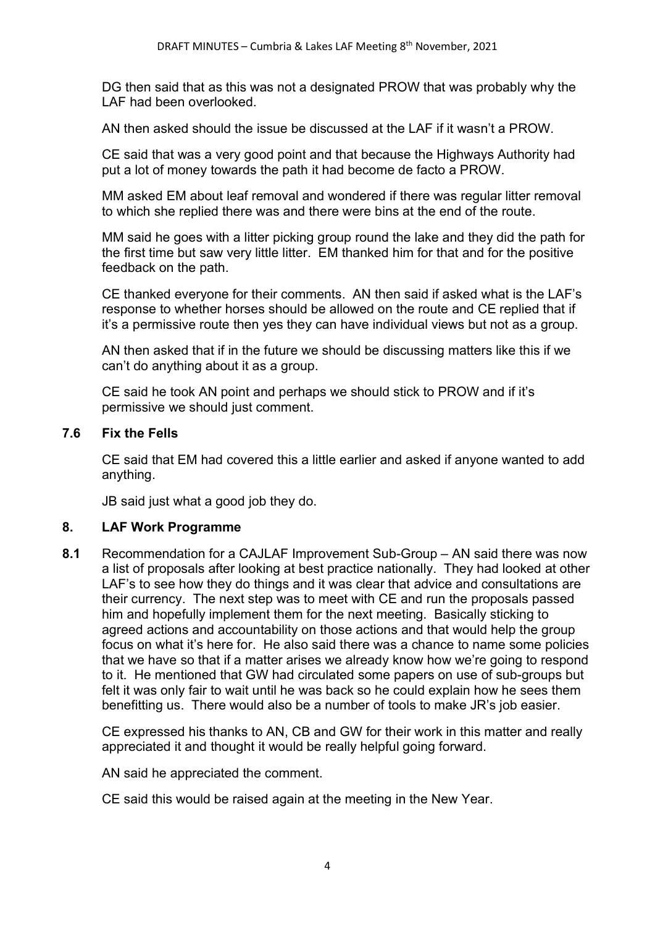DG then said that as this was not a designated PROW that was probably why the LAF had been overlooked.

AN then asked should the issue be discussed at the LAF if it wasn't a PROW.

 CE said that was a very good point and that because the Highways Authority had put a lot of money towards the path it had become de facto a PROW.

 MM asked EM about leaf removal and wondered if there was regular litter removal to which she replied there was and there were bins at the end of the route.

 MM said he goes with a litter picking group round the lake and they did the path for the first time but saw very little litter. EM thanked him for that and for the positive feedback on the path.

 CE thanked everyone for their comments. AN then said if asked what is the LAF's response to whether horses should be allowed on the route and CE replied that if it's a permissive route then yes they can have individual views but not as a group.

 AN then asked that if in the future we should be discussing matters like this if we can't do anything about it as a group.

 CE said he took AN point and perhaps we should stick to PROW and if it's permissive we should just comment.

#### 7.6 Fix the Fells

CE said that EM had covered this a little earlier and asked if anyone wanted to add anything.

JB said just what a good job they do.

## 8. LAF Work Programme

8.1 Recommendation for a CAJLAF Improvement Sub-Group – AN said there was now a list of proposals after looking at best practice nationally. They had looked at other LAF's to see how they do things and it was clear that advice and consultations are their currency. The next step was to meet with CE and run the proposals passed him and hopefully implement them for the next meeting. Basically sticking to agreed actions and accountability on those actions and that would help the group focus on what it's here for. He also said there was a chance to name some policies that we have so that if a matter arises we already know how we're going to respond to it. He mentioned that GW had circulated some papers on use of sub-groups but felt it was only fair to wait until he was back so he could explain how he sees them benefitting us. There would also be a number of tools to make JR's job easier.

CE expressed his thanks to AN, CB and GW for their work in this matter and really appreciated it and thought it would be really helpful going forward.

AN said he appreciated the comment.

CE said this would be raised again at the meeting in the New Year.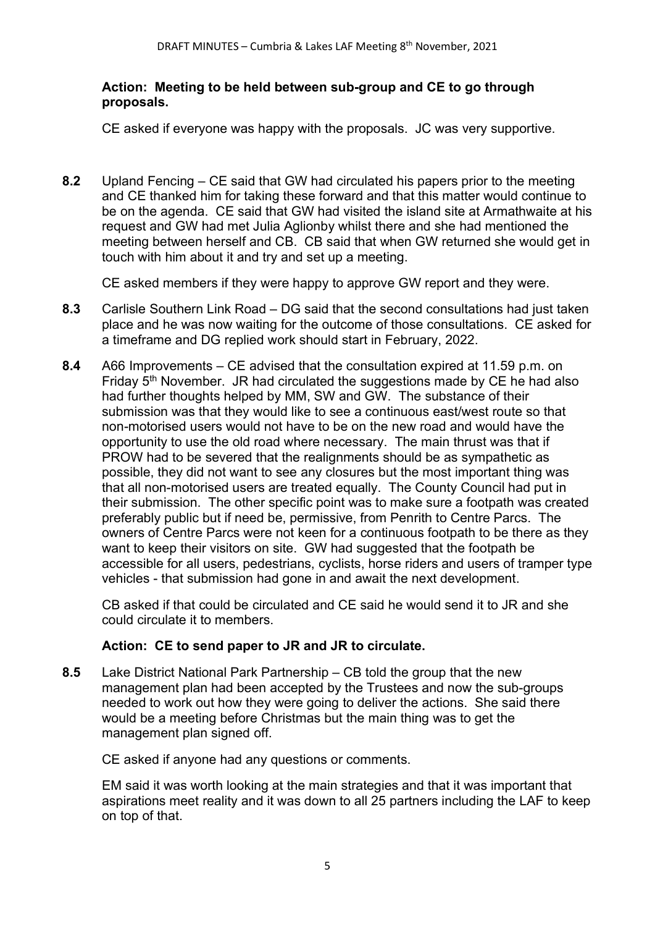## Action: Meeting to be held between sub-group and CE to go through proposals.

CE asked if everyone was happy with the proposals. JC was very supportive.

8.2 Upland Fencing – CE said that GW had circulated his papers prior to the meeting and CE thanked him for taking these forward and that this matter would continue to be on the agenda. CE said that GW had visited the island site at Armathwaite at his request and GW had met Julia Aglionby whilst there and she had mentioned the meeting between herself and CB. CB said that when GW returned she would get in touch with him about it and try and set up a meeting.

CE asked members if they were happy to approve GW report and they were.

- 8.3 Carlisle Southern Link Road DG said that the second consultations had just taken place and he was now waiting for the outcome of those consultations. CE asked for a timeframe and DG replied work should start in February, 2022.
- 8.4 A66 Improvements CE advised that the consultation expired at 11.59 p.m. on Friday  $5<sup>th</sup>$  November. JR had circulated the suggestions made by CE he had also had further thoughts helped by MM, SW and GW. The substance of their submission was that they would like to see a continuous east/west route so that non-motorised users would not have to be on the new road and would have the opportunity to use the old road where necessary. The main thrust was that if PROW had to be severed that the realignments should be as sympathetic as possible, they did not want to see any closures but the most important thing was that all non-motorised users are treated equally. The County Council had put in their submission. The other specific point was to make sure a footpath was created preferably public but if need be, permissive, from Penrith to Centre Parcs. The owners of Centre Parcs were not keen for a continuous footpath to be there as they want to keep their visitors on site. GW had suggested that the footpath be accessible for all users, pedestrians, cyclists, horse riders and users of tramper type vehicles - that submission had gone in and await the next development.

CB asked if that could be circulated and CE said he would send it to JR and she could circulate it to members.

## Action: CE to send paper to JR and JR to circulate.

8.5 Lake District National Park Partnership – CB told the group that the new management plan had been accepted by the Trustees and now the sub-groups needed to work out how they were going to deliver the actions. She said there would be a meeting before Christmas but the main thing was to get the management plan signed off.

CE asked if anyone had any questions or comments.

 EM said it was worth looking at the main strategies and that it was important that aspirations meet reality and it was down to all 25 partners including the LAF to keep on top of that.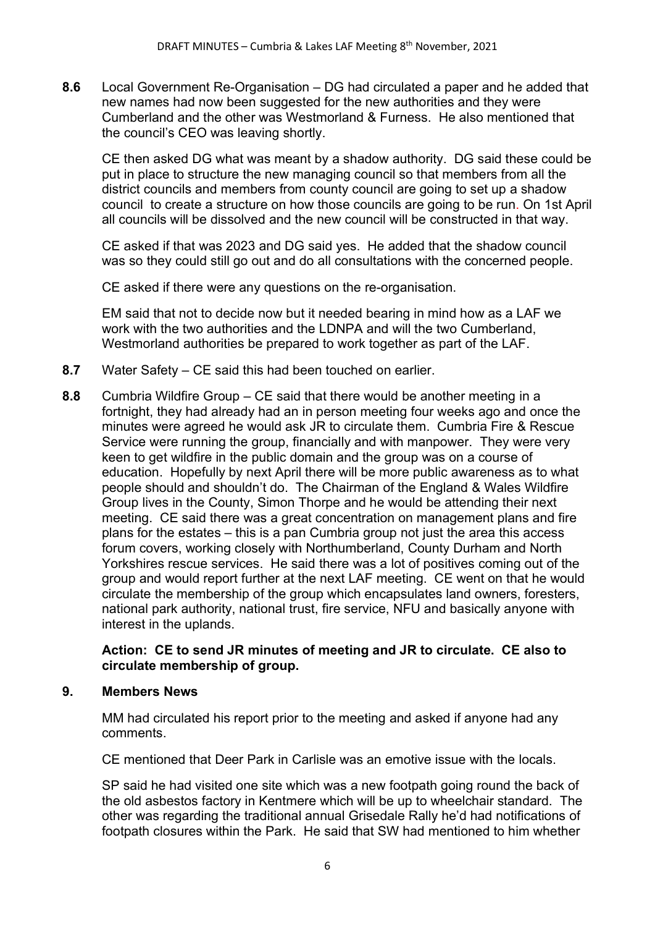8.6 Local Government Re-Organisation – DG had circulated a paper and he added that new names had now been suggested for the new authorities and they were Cumberland and the other was Westmorland & Furness. He also mentioned that the council's CEO was leaving shortly.

CE then asked DG what was meant by a shadow authority. DG said these could be put in place to structure the new managing council so that members from all the district councils and members from county council are going to set up a shadow council to create a structure on how those councils are going to be run. On 1st April all councils will be dissolved and the new council will be constructed in that way.

 CE asked if that was 2023 and DG said yes. He added that the shadow council was so they could still go out and do all consultations with the concerned people.

CE asked if there were any questions on the re-organisation.

 EM said that not to decide now but it needed bearing in mind how as a LAF we work with the two authorities and the LDNPA and will the two Cumberland, Westmorland authorities be prepared to work together as part of the LAF.

- 8.7 Water Safety CE said this had been touched on earlier.
- 8.8 Cumbria Wildfire Group CE said that there would be another meeting in a fortnight, they had already had an in person meeting four weeks ago and once the minutes were agreed he would ask JR to circulate them. Cumbria Fire & Rescue Service were running the group, financially and with manpower. They were very keen to get wildfire in the public domain and the group was on a course of education. Hopefully by next April there will be more public awareness as to what people should and shouldn't do. The Chairman of the England & Wales Wildfire Group lives in the County, Simon Thorpe and he would be attending their next meeting. CE said there was a great concentration on management plans and fire plans for the estates – this is a pan Cumbria group not just the area this access forum covers, working closely with Northumberland, County Durham and North Yorkshires rescue services. He said there was a lot of positives coming out of the group and would report further at the next LAF meeting. CE went on that he would circulate the membership of the group which encapsulates land owners, foresters, national park authority, national trust, fire service, NFU and basically anyone with interest in the uplands.

## Action: CE to send JR minutes of meeting and JR to circulate. CE also to circulate membership of group.

## 9. Members News

MM had circulated his report prior to the meeting and asked if anyone had any comments.

CE mentioned that Deer Park in Carlisle was an emotive issue with the locals.

SP said he had visited one site which was a new footpath going round the back of the old asbestos factory in Kentmere which will be up to wheelchair standard. The other was regarding the traditional annual Grisedale Rally he'd had notifications of footpath closures within the Park. He said that SW had mentioned to him whether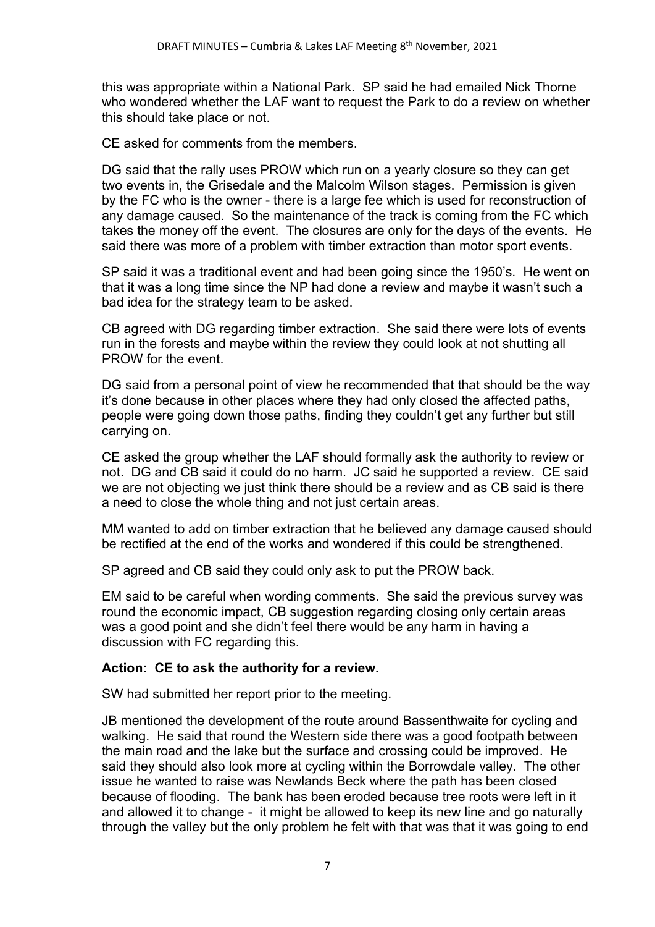this was appropriate within a National Park. SP said he had emailed Nick Thorne who wondered whether the LAF want to request the Park to do a review on whether this should take place or not.

CE asked for comments from the members.

DG said that the rally uses PROW which run on a yearly closure so they can get two events in, the Grisedale and the Malcolm Wilson stages. Permission is given by the FC who is the owner - there is a large fee which is used for reconstruction of any damage caused. So the maintenance of the track is coming from the FC which takes the money off the event. The closures are only for the days of the events. He said there was more of a problem with timber extraction than motor sport events.

SP said it was a traditional event and had been going since the 1950's. He went on that it was a long time since the NP had done a review and maybe it wasn't such a bad idea for the strategy team to be asked.

CB agreed with DG regarding timber extraction. She said there were lots of events run in the forests and maybe within the review they could look at not shutting all PROW for the event.

DG said from a personal point of view he recommended that that should be the way it's done because in other places where they had only closed the affected paths, people were going down those paths, finding they couldn't get any further but still carrying on.

CE asked the group whether the LAF should formally ask the authority to review or not. DG and CB said it could do no harm. JC said he supported a review. CE said we are not objecting we just think there should be a review and as CB said is there a need to close the whole thing and not just certain areas.

MM wanted to add on timber extraction that he believed any damage caused should be rectified at the end of the works and wondered if this could be strengthened.

SP agreed and CB said they could only ask to put the PROW back.

EM said to be careful when wording comments. She said the previous survey was round the economic impact, CB suggestion regarding closing only certain areas was a good point and she didn't feel there would be any harm in having a discussion with FC regarding this.

## Action: CE to ask the authority for a review.

SW had submitted her report prior to the meeting.

JB mentioned the development of the route around Bassenthwaite for cycling and walking. He said that round the Western side there was a good footpath between the main road and the lake but the surface and crossing could be improved. He said they should also look more at cycling within the Borrowdale valley. The other issue he wanted to raise was Newlands Beck where the path has been closed because of flooding. The bank has been eroded because tree roots were left in it and allowed it to change - it might be allowed to keep its new line and go naturally through the valley but the only problem he felt with that was that it was going to end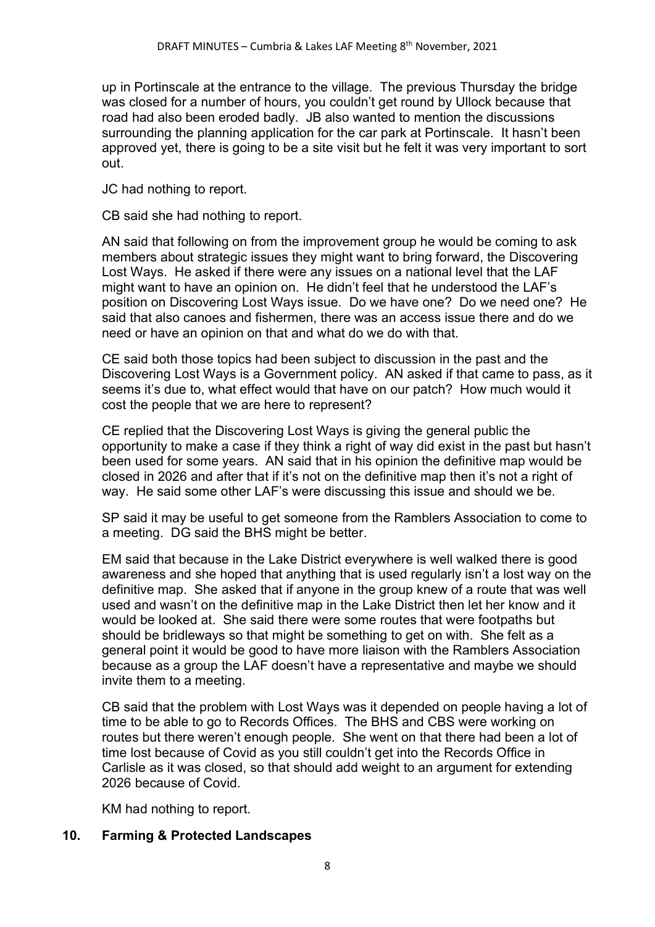up in Portinscale at the entrance to the village. The previous Thursday the bridge was closed for a number of hours, you couldn't get round by Ullock because that road had also been eroded badly. JB also wanted to mention the discussions surrounding the planning application for the car park at Portinscale. It hasn't been approved yet, there is going to be a site visit but he felt it was very important to sort out.

JC had nothing to report.

CB said she had nothing to report.

AN said that following on from the improvement group he would be coming to ask members about strategic issues they might want to bring forward, the Discovering Lost Ways. He asked if there were any issues on a national level that the LAF might want to have an opinion on. He didn't feel that he understood the LAF's position on Discovering Lost Ways issue. Do we have one? Do we need one? He said that also canoes and fishermen, there was an access issue there and do we need or have an opinion on that and what do we do with that.

CE said both those topics had been subject to discussion in the past and the Discovering Lost Ways is a Government policy. AN asked if that came to pass, as it seems it's due to, what effect would that have on our patch? How much would it cost the people that we are here to represent?

CE replied that the Discovering Lost Ways is giving the general public the opportunity to make a case if they think a right of way did exist in the past but hasn't been used for some years. AN said that in his opinion the definitive map would be closed in 2026 and after that if it's not on the definitive map then it's not a right of way. He said some other LAF's were discussing this issue and should we be.

SP said it may be useful to get someone from the Ramblers Association to come to a meeting. DG said the BHS might be better.

EM said that because in the Lake District everywhere is well walked there is good awareness and she hoped that anything that is used regularly isn't a lost way on the definitive map. She asked that if anyone in the group knew of a route that was well used and wasn't on the definitive map in the Lake District then let her know and it would be looked at. She said there were some routes that were footpaths but should be bridleways so that might be something to get on with. She felt as a general point it would be good to have more liaison with the Ramblers Association because as a group the LAF doesn't have a representative and maybe we should invite them to a meeting.

CB said that the problem with Lost Ways was it depended on people having a lot of time to be able to go to Records Offices. The BHS and CBS were working on routes but there weren't enough people. She went on that there had been a lot of time lost because of Covid as you still couldn't get into the Records Office in Carlisle as it was closed, so that should add weight to an argument for extending 2026 because of Covid.

KM had nothing to report.

## 10. Farming & Protected Landscapes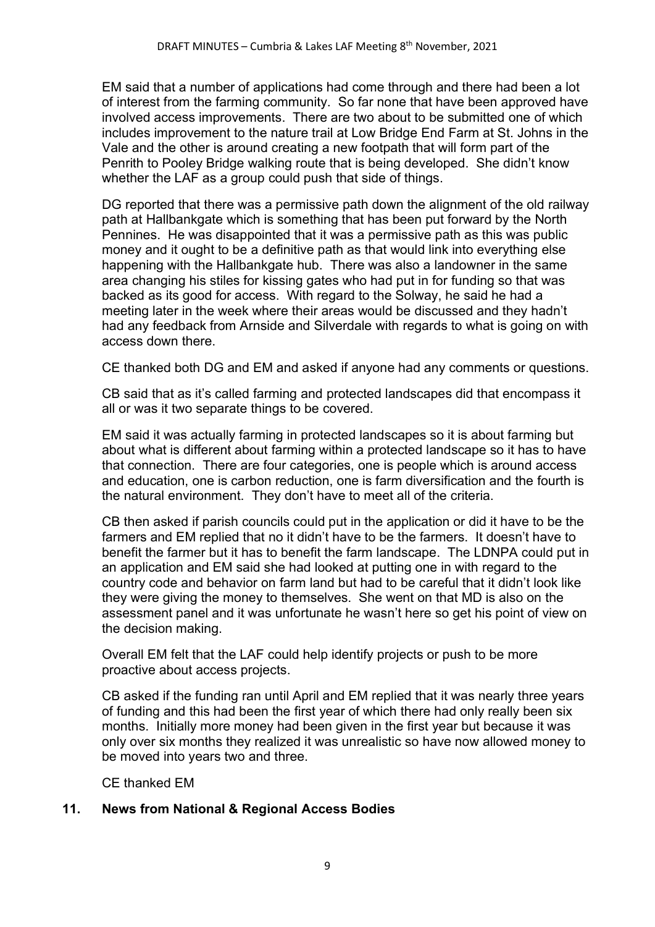EM said that a number of applications had come through and there had been a lot of interest from the farming community. So far none that have been approved have involved access improvements. There are two about to be submitted one of which includes improvement to the nature trail at Low Bridge End Farm at St. Johns in the Vale and the other is around creating a new footpath that will form part of the Penrith to Pooley Bridge walking route that is being developed. She didn't know whether the LAF as a group could push that side of things.

DG reported that there was a permissive path down the alignment of the old railway path at Hallbankgate which is something that has been put forward by the North Pennines. He was disappointed that it was a permissive path as this was public money and it ought to be a definitive path as that would link into everything else happening with the Hallbankgate hub. There was also a landowner in the same area changing his stiles for kissing gates who had put in for funding so that was backed as its good for access. With regard to the Solway, he said he had a meeting later in the week where their areas would be discussed and they hadn't had any feedback from Arnside and Silverdale with regards to what is going on with access down there.

CE thanked both DG and EM and asked if anyone had any comments or questions.

CB said that as it's called farming and protected landscapes did that encompass it all or was it two separate things to be covered.

EM said it was actually farming in protected landscapes so it is about farming but about what is different about farming within a protected landscape so it has to have that connection. There are four categories, one is people which is around access and education, one is carbon reduction, one is farm diversification and the fourth is the natural environment. They don't have to meet all of the criteria.

CB then asked if parish councils could put in the application or did it have to be the farmers and EM replied that no it didn't have to be the farmers. It doesn't have to benefit the farmer but it has to benefit the farm landscape. The LDNPA could put in an application and EM said she had looked at putting one in with regard to the country code and behavior on farm land but had to be careful that it didn't look like they were giving the money to themselves. She went on that MD is also on the assessment panel and it was unfortunate he wasn't here so get his point of view on the decision making.

Overall EM felt that the LAF could help identify projects or push to be more proactive about access projects.

CB asked if the funding ran until April and EM replied that it was nearly three years of funding and this had been the first year of which there had only really been six months. Initially more money had been given in the first year but because it was only over six months they realized it was unrealistic so have now allowed money to be moved into years two and three.

CE thanked EM

## 11. News from National & Regional Access Bodies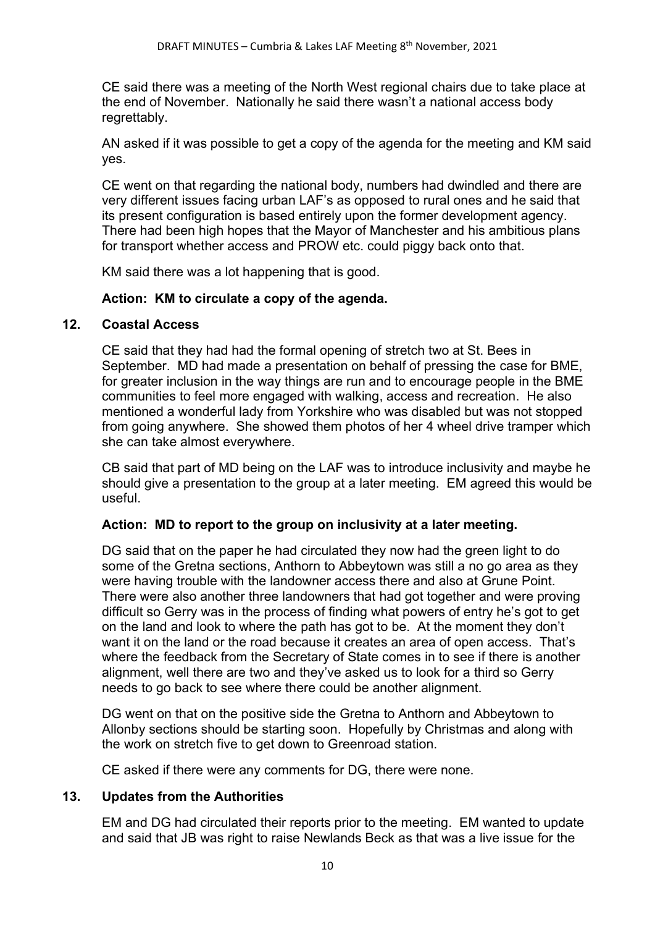CE said there was a meeting of the North West regional chairs due to take place at the end of November. Nationally he said there wasn't a national access body regrettably.

AN asked if it was possible to get a copy of the agenda for the meeting and KM said yes.

CE went on that regarding the national body, numbers had dwindled and there are very different issues facing urban LAF's as opposed to rural ones and he said that its present configuration is based entirely upon the former development agency. There had been high hopes that the Mayor of Manchester and his ambitious plans for transport whether access and PROW etc. could piggy back onto that.

KM said there was a lot happening that is good.

## Action: KM to circulate a copy of the agenda.

#### 12. Coastal Access

CE said that they had had the formal opening of stretch two at St. Bees in September. MD had made a presentation on behalf of pressing the case for BME, for greater inclusion in the way things are run and to encourage people in the BME communities to feel more engaged with walking, access and recreation. He also mentioned a wonderful lady from Yorkshire who was disabled but was not stopped from going anywhere. She showed them photos of her 4 wheel drive tramper which she can take almost everywhere.

 CB said that part of MD being on the LAF was to introduce inclusivity and maybe he should give a presentation to the group at a later meeting. EM agreed this would be useful.

## Action: MD to report to the group on inclusivity at a later meeting.

DG said that on the paper he had circulated they now had the green light to do some of the Gretna sections, Anthorn to Abbeytown was still a no go area as they were having trouble with the landowner access there and also at Grune Point. There were also another three landowners that had got together and were proving difficult so Gerry was in the process of finding what powers of entry he's got to get on the land and look to where the path has got to be. At the moment they don't want it on the land or the road because it creates an area of open access. That's where the feedback from the Secretary of State comes in to see if there is another alignment, well there are two and they've asked us to look for a third so Gerry needs to go back to see where there could be another alignment.

 DG went on that on the positive side the Gretna to Anthorn and Abbeytown to Allonby sections should be starting soon. Hopefully by Christmas and along with the work on stretch five to get down to Greenroad station.

CE asked if there were any comments for DG, there were none.

## 13. Updates from the Authorities

EM and DG had circulated their reports prior to the meeting. EM wanted to update and said that JB was right to raise Newlands Beck as that was a live issue for the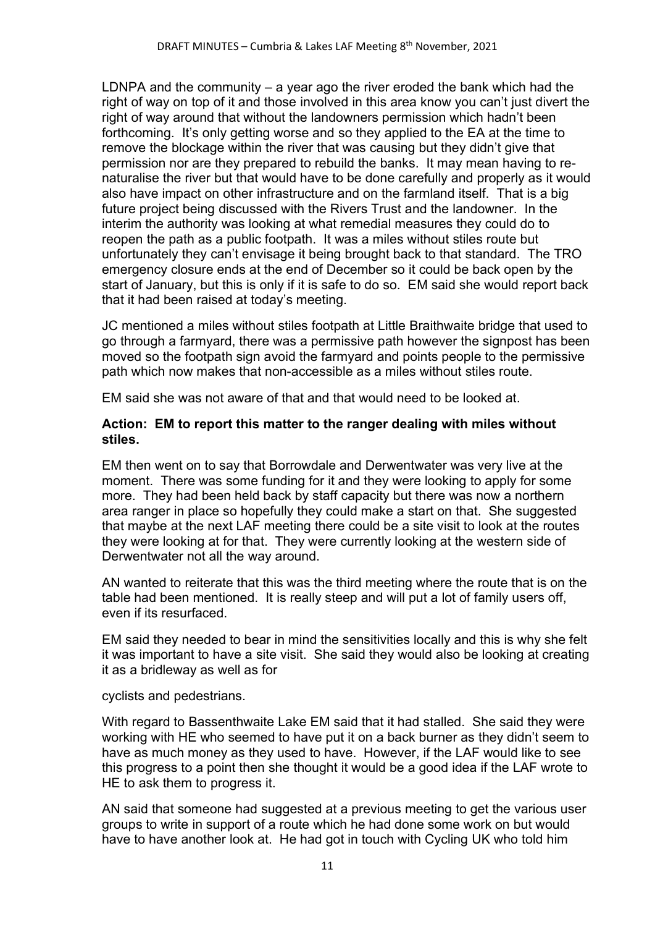LDNPA and the community – a year ago the river eroded the bank which had the right of way on top of it and those involved in this area know you can't just divert the right of way around that without the landowners permission which hadn't been forthcoming. It's only getting worse and so they applied to the EA at the time to remove the blockage within the river that was causing but they didn't give that permission nor are they prepared to rebuild the banks. It may mean having to renaturalise the river but that would have to be done carefully and properly as it would also have impact on other infrastructure and on the farmland itself. That is a big future project being discussed with the Rivers Trust and the landowner. In the interim the authority was looking at what remedial measures they could do to reopen the path as a public footpath. It was a miles without stiles route but unfortunately they can't envisage it being brought back to that standard. The TRO emergency closure ends at the end of December so it could be back open by the start of January, but this is only if it is safe to do so. EM said she would report back that it had been raised at today's meeting.

 JC mentioned a miles without stiles footpath at Little Braithwaite bridge that used to go through a farmyard, there was a permissive path however the signpost has been moved so the footpath sign avoid the farmyard and points people to the permissive path which now makes that non-accessible as a miles without stiles route.

EM said she was not aware of that and that would need to be looked at.

## Action: EM to report this matter to the ranger dealing with miles without stiles.

EM then went on to say that Borrowdale and Derwentwater was very live at the moment. There was some funding for it and they were looking to apply for some more. They had been held back by staff capacity but there was now a northern area ranger in place so hopefully they could make a start on that. She suggested that maybe at the next LAF meeting there could be a site visit to look at the routes they were looking at for that. They were currently looking at the western side of Derwentwater not all the way around.

AN wanted to reiterate that this was the third meeting where the route that is on the table had been mentioned. It is really steep and will put a lot of family users off, even if its resurfaced.

EM said they needed to bear in mind the sensitivities locally and this is why she felt it was important to have a site visit. She said they would also be looking at creating it as a bridleway as well as for

cyclists and pedestrians.

With regard to Bassenthwaite Lake EM said that it had stalled. She said they were working with HE who seemed to have put it on a back burner as they didn't seem to have as much money as they used to have. However, if the LAF would like to see this progress to a point then she thought it would be a good idea if the LAF wrote to HE to ask them to progress it.

AN said that someone had suggested at a previous meeting to get the various user groups to write in support of a route which he had done some work on but would have to have another look at. He had got in touch with Cycling UK who told him